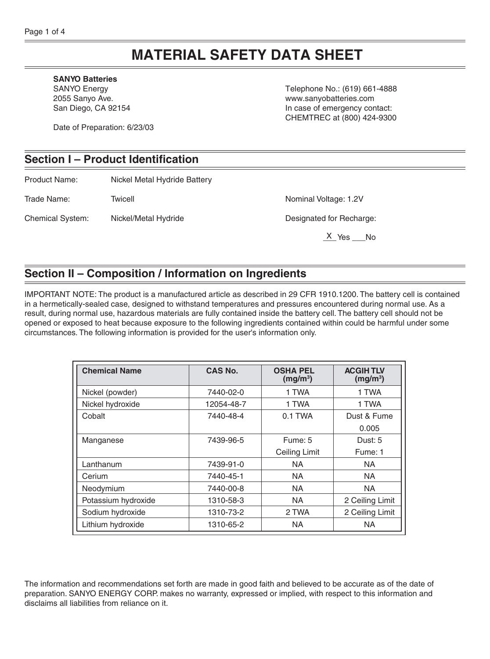# **MATERIAL SAFETY DATA SHEET**

#### **SANYO Batteries**

SANYO Energy 2055 Sanyo Ave. San Diego, CA 92154

Date of Preparation: 6/23/03

Telephone No.: (619) 661-4888 www.sanyobatteries.com In case of emergency contact: CHEMTREC at (800) 424-9300

### **Section I – Product Identification**

Product Name: Nickel Metal Hydride Battery

Trade Name: Twicell Twing Trade Name: Trade Name: 1.2V

Chemical System: Nickel/Metal Hydride Designated for Recharge:

 $X$  Yes  $N$ o

## **Section II – Composition / Information on Ingredients**

IMPORTANT NOTE: The product is a manufactured article as described in 29 CFR 1910.1200. The battery cell is contained in a hermetically-sealed case, designed to withstand temperatures and pressures encountered during normal use. As a result, during normal use, hazardous materials are fully contained inside the battery cell. The battery cell should not be opened or exposed to heat because exposure to the following ingredients contained within could be harmful under some circumstances. The following information is provided for the user's information only.

| <b>Chemical Name</b> | CAS No.    | <b>OSHA PEL</b><br>(mg/m <sup>3</sup> ) | <b>ACGIHTLV</b><br>(mg/m <sup>3</sup> ) |
|----------------------|------------|-----------------------------------------|-----------------------------------------|
| Nickel (powder)      | 7440-02-0  | 1 TWA                                   | 1 TWA                                   |
| Nickel hydroxide     | 12054-48-7 | 1 TWA                                   | 1 TWA                                   |
| Cobalt               | 7440-48-4  | $0.1$ TWA                               | Dust & Fume                             |
|                      |            |                                         | 0.005                                   |
| Manganese            | 7439-96-5  | Fume: 5                                 | Dust: 5                                 |
|                      |            | Ceiling Limit                           | Fume: 1                                 |
| Lanthanum            | 7439-91-0  | <b>NA</b>                               | NA.                                     |
| Cerium               | 7440-45-1  | <b>NA</b>                               | NA.                                     |
| Neodymium            | 7440-00-8  | <b>NA</b>                               | NA.                                     |
| Potassium hydroxide  | 1310-58-3  | NA.                                     | 2 Ceiling Limit                         |
| Sodium hydroxide     | 1310-73-2  | 2 TWA                                   | 2 Ceiling Limit                         |
| Lithium hydroxide    | 1310-65-2  | <b>NA</b>                               | NA.                                     |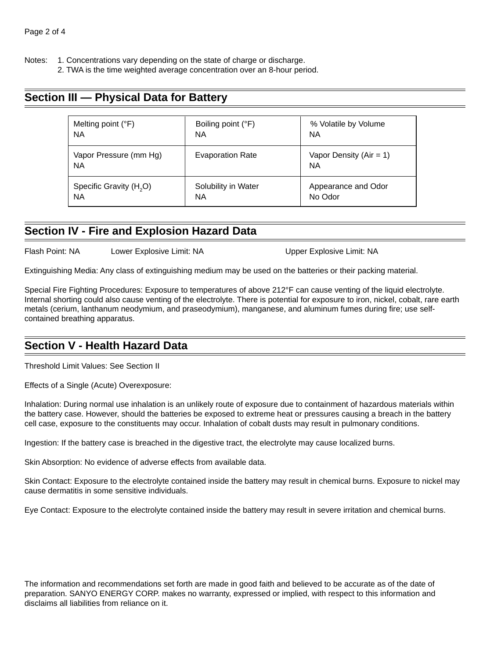Notes: 1. Concentrations vary depending on the state of charge or discharge.

2. TWA is the time weighted average concentration over an 8-hour period.

### **Section III — Physical Data for Battery**

| Melting point (°F)                  | Boiling point (°F)      | % Volatile by Volume                     |
|-------------------------------------|-------------------------|------------------------------------------|
| <b>NA</b>                           | ΝA                      | <b>NA</b>                                |
| Vapor Pressure (mm Hg)<br><b>NA</b> | <b>Evaporation Rate</b> | Vapor Density ( $Air = 1$ )<br><b>NA</b> |
| Specific Gravity (H <sub>2</sub> O) | Solubility in Water     | Appearance and Odor                      |
| <b>NA</b>                           | ΝA                      | No Odor                                  |

### **Section IV - Fire and Explosion Hazard Data**

Flash Point: NA Lower Explosive Limit: NA Class Compare Explosive Limit: NA

Extinguishing Media: Any class of extinguishing medium may be used on the batteries or their packing material.

Special Fire Fighting Procedures: Exposure to temperatures of above 212°F can cause venting of the liquid electrolyte. Internal shorting could also cause venting of the electrolyte. There is potential for exposure to iron, nickel, cobalt, rare earth metals (cerium, lanthanum neodymium, and praseodymium), manganese, and aluminum fumes during fire; use selfcontained breathing apparatus.

### **Section V - Health Hazard Data**

Threshold Limit Values: See Section II

Effects of a Single (Acute) Overexposure:

Inhalation: During normal use inhalation is an unlikely route of exposure due to containment of hazardous materials within the battery case. However, should the batteries be exposed to extreme heat or pressures causing a breach in the battery cell case, exposure to the constituents may occur. Inhalation of cobalt dusts may result in pulmonary conditions.

Ingestion: If the battery case is breached in the digestive tract, the electrolyte may cause localized burns.

Skin Absorption: No evidence of adverse effects from available data.

Skin Contact: Exposure to the electrolyte contained inside the battery may result in chemical burns. Exposure to nickel may cause dermatitis in some sensitive individuals.

Eye Contact: Exposure to the electrolyte contained inside the battery may result in severe irritation and chemical burns.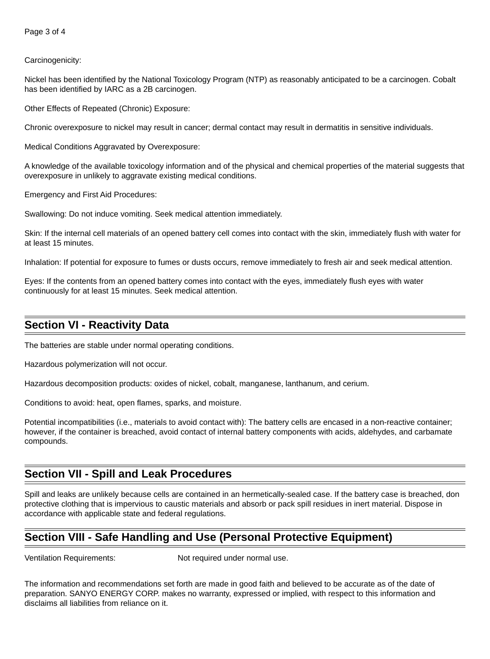#### Carcinogenicity:

Nickel has been identified by the National Toxicology Program (NTP) as reasonably anticipated to be a carcinogen. Cobalt has been identified by IARC as a 2B carcinogen.

Other Effects of Repeated (Chronic) Exposure:

Chronic overexposure to nickel may result in cancer; dermal contact may result in dermatitis in sensitive individuals.

Medical Conditions Aggravated by Overexposure:

A knowledge of the available toxicology information and of the physical and chemical properties of the material suggests that overexposure in unlikely to aggravate existing medical conditions.

Emergency and First Aid Procedures:

Swallowing: Do not induce vomiting. Seek medical attention immediately.

Skin: If the internal cell materials of an opened battery cell comes into contact with the skin, immediately flush with water for at least 15 minutes.

Inhalation: If potential for exposure to fumes or dusts occurs, remove immediately to fresh air and seek medical attention.

Eyes: If the contents from an opened battery comes into contact with the eyes, immediately flush eyes with water continuously for at least 15 minutes. Seek medical attention.

### **Section VI - Reactivity Data**

The batteries are stable under normal operating conditions.

Hazardous polymerization will not occur.

Hazardous decomposition products: oxides of nickel, cobalt, manganese, lanthanum, and cerium.

Conditions to avoid: heat, open flames, sparks, and moisture.

Potential incompatibilities (i.e., materials to avoid contact with): The battery cells are encased in a non-reactive container; however, if the container is breached, avoid contact of internal battery components with acids, aldehydes, and carbamate compounds.

### **Section VII - Spill and Leak Procedures**

Spill and leaks are unlikely because cells are contained in an hermetically-sealed case. If the battery case is breached, don protective clothing that is impervious to caustic materials and absorb or pack spill residues in inert material. Dispose in accordance with applicable state and federal regulations.

### **Section VIII - Safe Handling and Use (Personal Protective Equipment)**

Ventilation Requirements: Not required under normal use.